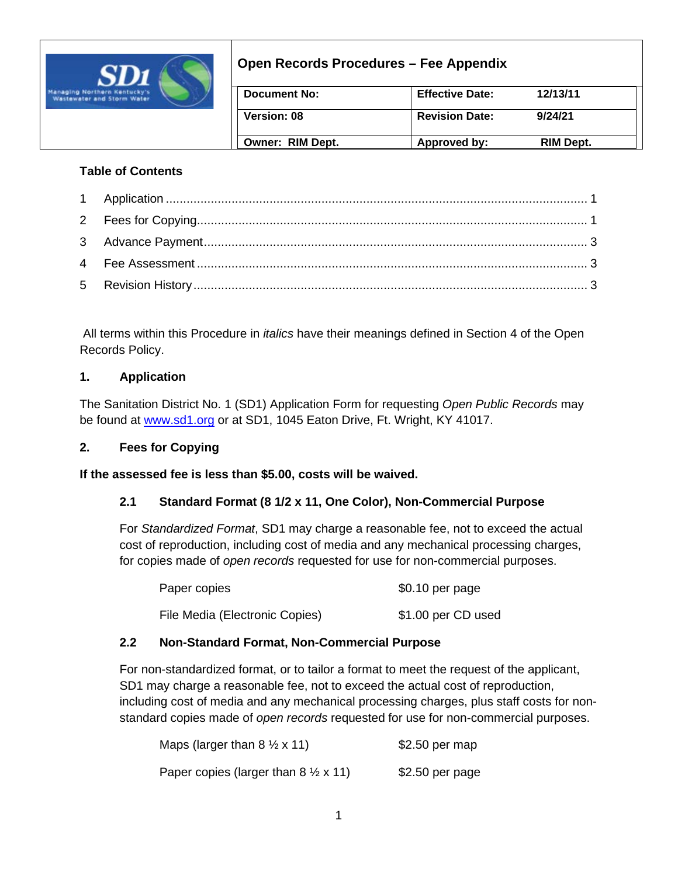

# **Open Records Procedures – Fee Appendix**

| Document No:            | <b>Effective Date:</b> | 12/13/11  |
|-------------------------|------------------------|-----------|
| <b>Version: 08</b>      | <b>Revision Date:</b>  | 9/24/21   |
| <b>Owner: RIM Dept.</b> | Approved by:           | RIM Dept. |

## **Table of Contents**

All terms within this Procedure in *italics* have their meanings defined in Section 4 of the Open Records Policy.

## **1. Application**

The Sanitation District No. 1 (SD1) Application Form for requesting *Open Public Records* may be found at [www.sd1.org](http://www.sd1.org/) or at SD1, 1045 Eaton Drive, Ft. Wright, KY 41017.

## **2. Fees for Copying**

**If the assessed fee is less than \$5.00, costs will be waived.**

## **2.1 Standard Format (8 1/2 x 11, One Color), Non-Commercial Purpose**

For *Standardized Format*, SD1 may charge a reasonable fee, not to exceed the actual cost of reproduction, including cost of media and any mechanical processing charges, for copies made of *open records* requested for use for non-commercial purposes.

| Paper copies                   | $$0.10$ per page   |
|--------------------------------|--------------------|
| File Media (Electronic Copies) | \$1.00 per CD used |

## **2.2 Non-Standard Format, Non-Commercial Purpose**

For non-standardized format, or to tailor a format to meet the request of the applicant, SD1 may charge a reasonable fee, not to exceed the actual cost of reproduction, including cost of media and any mechanical processing charges, plus staff costs for nonstandard copies made of *open records* requested for use for non-commercial purposes.

| Maps (larger than $8 \frac{1}{2} \times 11$ )         | $$2.50$ per map  |
|-------------------------------------------------------|------------------|
| Paper copies (larger than $8 \frac{1}{2} \times 11$ ) | $$2.50$ per page |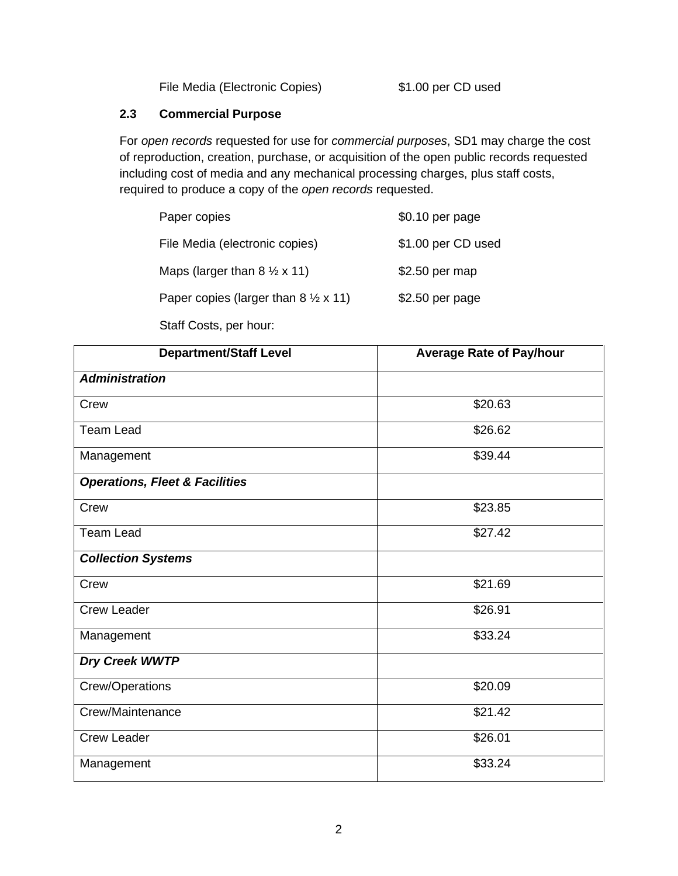File Media (Electronic Copies) \$1.00 per CD used

## **2.3 Commercial Purpose**

For *open records* requested for use for *commercial purposes*, SD1 may charge the cost of reproduction, creation, purchase, or acquisition of the open public records requested including cost of media and any mechanical processing charges, plus staff costs, required to produce a copy of the *open records* requested.

| Paper copies                                          | \$0.10 per page    |
|-------------------------------------------------------|--------------------|
| File Media (electronic copies)                        | \$1.00 per CD used |
| Maps (larger than $8 \frac{1}{2} \times 11$ )         | \$2.50 per map     |
| Paper copies (larger than $8 \frac{1}{2} \times 11$ ) | $$2.50$ per page   |
|                                                       |                    |

#### Staff Costs, per hour:

| <b>Department/Staff Level</b>             | <b>Average Rate of Pay/hour</b> |  |  |
|-------------------------------------------|---------------------------------|--|--|
| <b>Administration</b>                     |                                 |  |  |
| Crew                                      | \$20.63                         |  |  |
| <b>Team Lead</b>                          | \$26.62                         |  |  |
| Management                                | \$39.44                         |  |  |
| <b>Operations, Fleet &amp; Facilities</b> |                                 |  |  |
| Crew                                      | \$23.85                         |  |  |
| <b>Team Lead</b>                          | \$27.42                         |  |  |
| <b>Collection Systems</b>                 |                                 |  |  |
| Crew                                      | \$21.69                         |  |  |
| <b>Crew Leader</b>                        | \$26.91                         |  |  |
| Management                                | \$33.24                         |  |  |
| <b>Dry Creek WWTP</b>                     |                                 |  |  |
| Crew/Operations                           | \$20.09                         |  |  |
| Crew/Maintenance                          | \$21.42                         |  |  |
| <b>Crew Leader</b>                        | \$26.01                         |  |  |
| Management                                | \$33.24                         |  |  |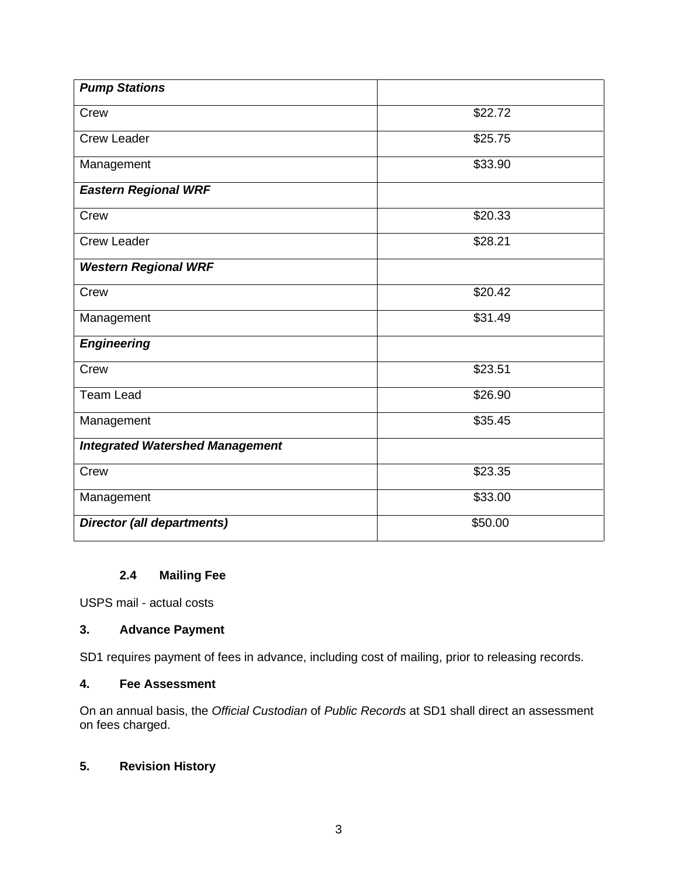| <b>Pump Stations</b>                   |         |  |  |
|----------------------------------------|---------|--|--|
| Crew                                   | \$22.72 |  |  |
| <b>Crew Leader</b>                     | \$25.75 |  |  |
| Management                             | \$33.90 |  |  |
| <b>Eastern Regional WRF</b>            |         |  |  |
| Crew                                   | \$20.33 |  |  |
| <b>Crew Leader</b>                     | \$28.21 |  |  |
| <b>Western Regional WRF</b>            |         |  |  |
| Crew                                   | \$20.42 |  |  |
| Management                             | \$31.49 |  |  |
| <b>Engineering</b>                     |         |  |  |
| Crew                                   | \$23.51 |  |  |
| <b>Team Lead</b>                       | \$26.90 |  |  |
| Management                             | \$35.45 |  |  |
| <b>Integrated Watershed Management</b> |         |  |  |
| Crew                                   | \$23.35 |  |  |
| Management                             | \$33.00 |  |  |
| <b>Director (all departments)</b>      | \$50.00 |  |  |

## **2.4 Mailing Fee**

USPS mail - actual costs

#### **3. Advance Payment**

SD1 requires payment of fees in advance, including cost of mailing, prior to releasing records.

#### **4. Fee Assessment**

On an annual basis, the *Official Custodian* of *Public Records* at SD1 shall direct an assessment on fees charged.

## **5. Revision History**